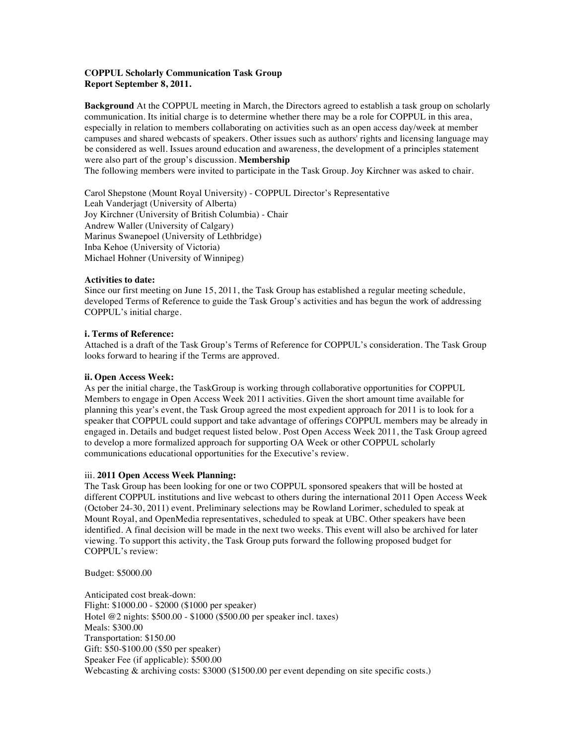## **COPPUL Scholarly Communication Task Group Report September 8, 2011.**

**Background** At the COPPUL meeting in March, the Directors agreed to establish a task group on scholarly communication. Its initial charge is to determine whether there may be a role for COPPUL in this area, especially in relation to members collaborating on activities such as an open access day/week at member campuses and shared webcasts of speakers. Other issues such as authors' rights and licensing language may be considered as well. Issues around education and awareness, the development of a principles statement were also part of the group's discussion. **Membership**

The following members were invited to participate in the Task Group. Joy Kirchner was asked to chair.

Carol Shepstone (Mount Royal University) - COPPUL Director's Representative Leah Vanderjagt (University of Alberta) Joy Kirchner (University of British Columbia) - Chair Andrew Waller (University of Calgary) Marinus Swanepoel (University of Lethbridge) Inba Kehoe (University of Victoria) Michael Hohner (University of Winnipeg)

# **Activities to date:**

Since our first meeting on June 15, 2011, the Task Group has established a regular meeting schedule, developed Terms of Reference to guide the Task Group's activities and has begun the work of addressing COPPUL's initial charge.

#### **i. Terms of Reference:**

Attached is a draft of the Task Group's Terms of Reference for COPPUL's consideration. The Task Group looks forward to hearing if the Terms are approved.

## **ii. Open Access Week:**

As per the initial charge, the TaskGroup is working through collaborative opportunities for COPPUL Members to engage in Open Access Week 2011 activities. Given the short amount time available for planning this year's event, the Task Group agreed the most expedient approach for 2011 is to look for a speaker that COPPUL could support and take advantage of offerings COPPUL members may be already in engaged in. Details and budget request listed below. Post Open Access Week 2011, the Task Group agreed to develop a more formalized approach for supporting OA Week or other COPPUL scholarly communications educational opportunities for the Executive's review.

# iii. **2011 Open Access Week Planning:**

The Task Group has been looking for one or two COPPUL sponsored speakers that will be hosted at different COPPUL institutions and live webcast to others during the international 2011 Open Access Week (October 24-30, 2011) event. Preliminary selections may be Rowland Lorimer, scheduled to speak at Mount Royal, and OpenMedia representatives, scheduled to speak at UBC. Other speakers have been identified. A final decision will be made in the next two weeks. This event will also be archived for later viewing. To support this activity, the Task Group puts forward the following proposed budget for COPPUL's review:

Budget: \$5000.00

Anticipated cost break-down: Flight: \$1000.00 - \$2000 (\$1000 per speaker) Hotel @2 nights: \$500.00 - \$1000 (\$500.00 per speaker incl. taxes) Meals: \$300.00 Transportation: \$150.00 Gift: \$50-\$100.00 (\$50 per speaker) Speaker Fee (if applicable): \$500.00 Webcasting & archiving costs: \$3000 (\$1500.00 per event depending on site specific costs.)